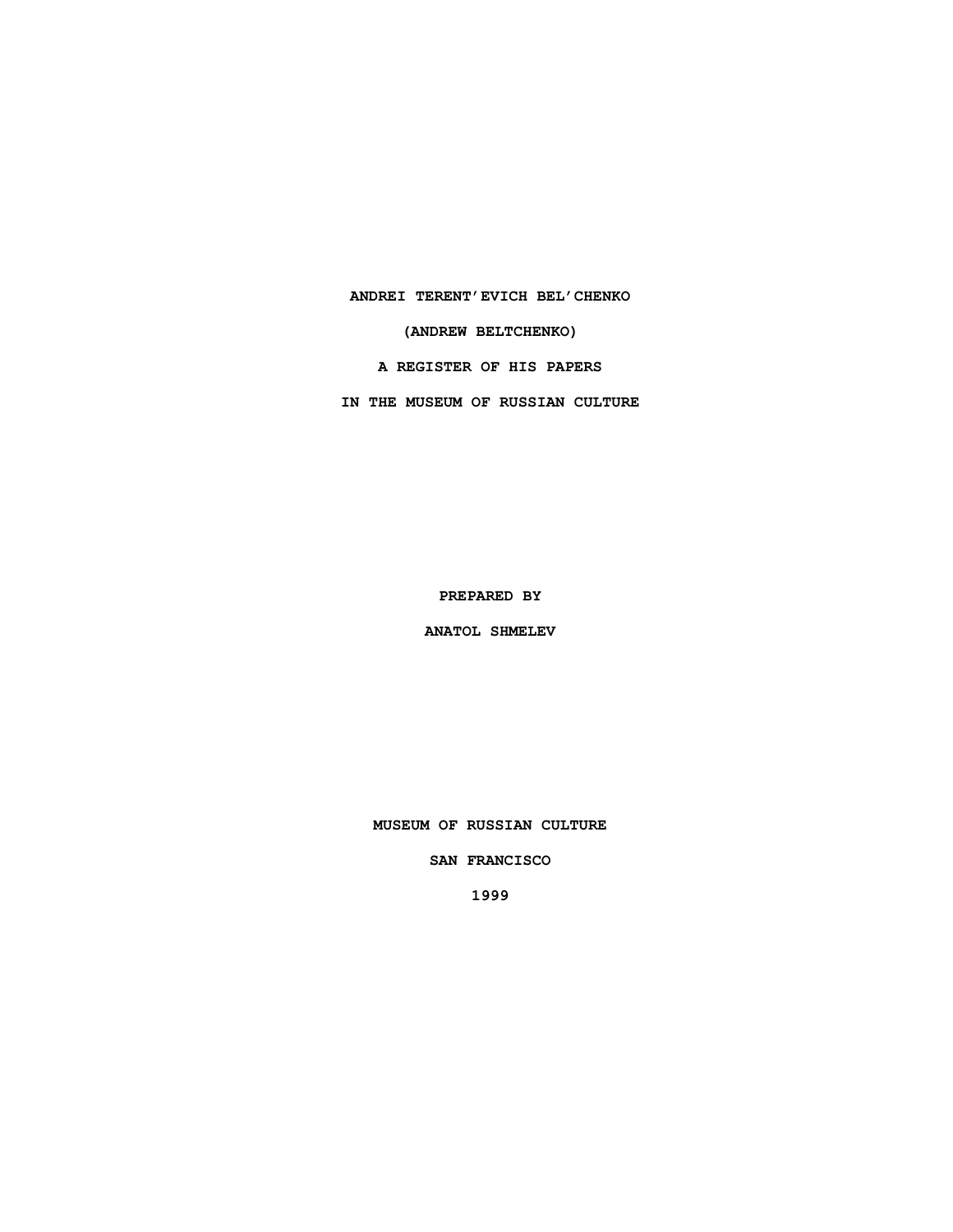**ANDREI TERENT'EVICH BEL'CHENKO**

**(ANDREW BELTCHENKO)**

**A REGISTER OF HIS PAPERS**

**IN THE MUSEUM OF RUSSIAN CULTURE**

**PREPARED BY**

**ANATOL SHMELEV**

**MUSEUM OF RUSSIAN CULTURE**

**SAN FRANCISCO**

**1999**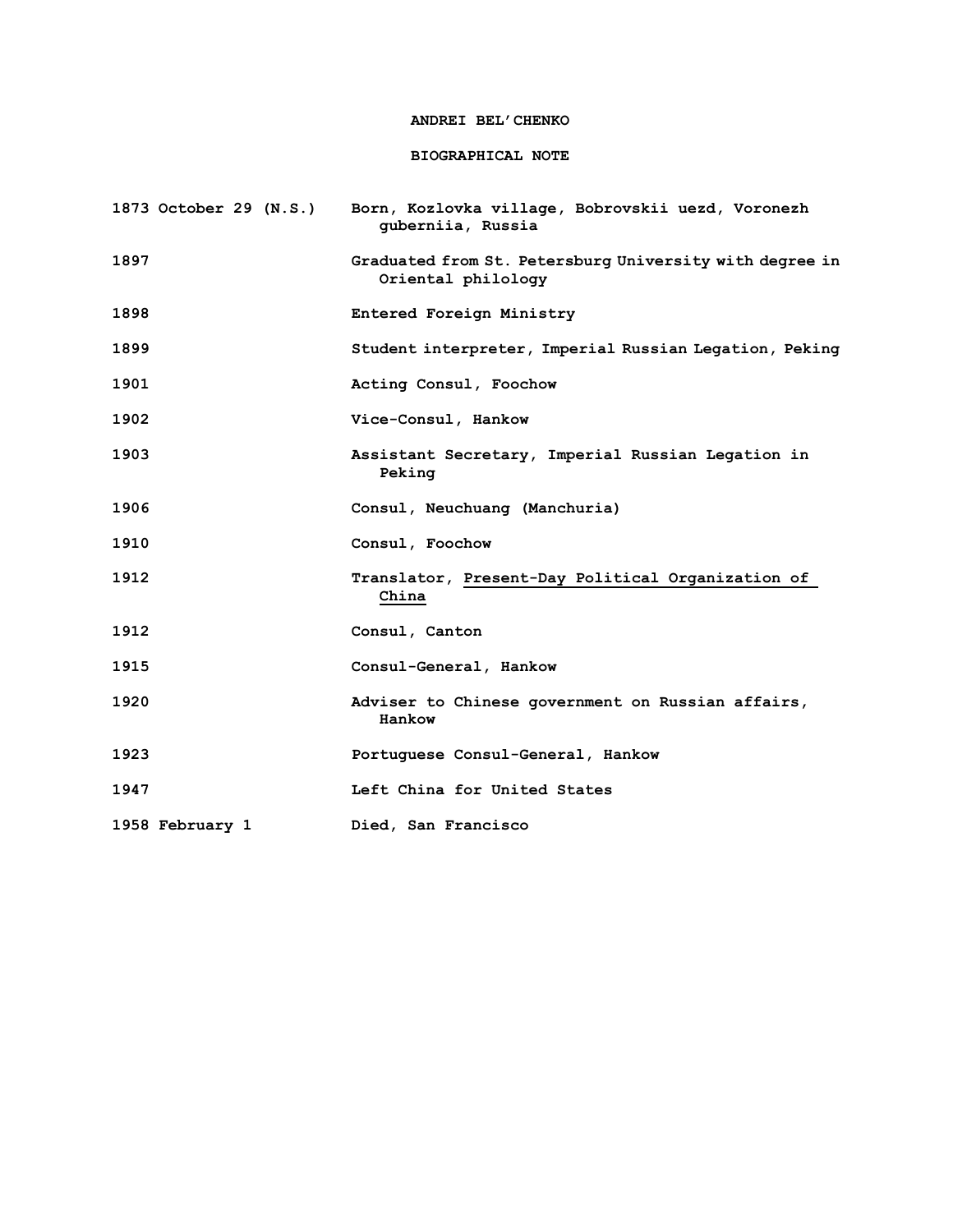## **ANDREI BEL'CHENKO**

# **BIOGRAPHICAL NOTE**

| 1873 October 29 (N.S.) | Born, Kozlovka village, Bobrovskii uezd, Voronezh<br>quberniia, Russia        |
|------------------------|-------------------------------------------------------------------------------|
| 1897                   | Graduated from St. Petersburg University with degree in<br>Oriental philology |
| 1898                   | Entered Foreign Ministry                                                      |
| 1899                   | Student interpreter, Imperial Russian Legation, Peking                        |
| 1901                   | Acting Consul, Foochow                                                        |
| 1902                   | Vice-Consul, Hankow                                                           |
| 1903                   | Assistant Secretary, Imperial Russian Legation in<br>Peking                   |
| 1906                   | Consul, Neuchuang (Manchuria)                                                 |
| 1910                   | Consul, Foochow                                                               |
| 1912                   | Translator, Present-Day Political Organization of<br>China                    |
| 1912                   | Consul, Canton                                                                |
| 1915                   | Consul-General, Hankow                                                        |
| 1920                   | Adviser to Chinese government on Russian affairs,<br>Hankow                   |
| 1923                   | Portuguese Consul-General, Hankow                                             |
| 1947                   | Left China for United States                                                  |
| 1958 February 1        | Died, San Francisco                                                           |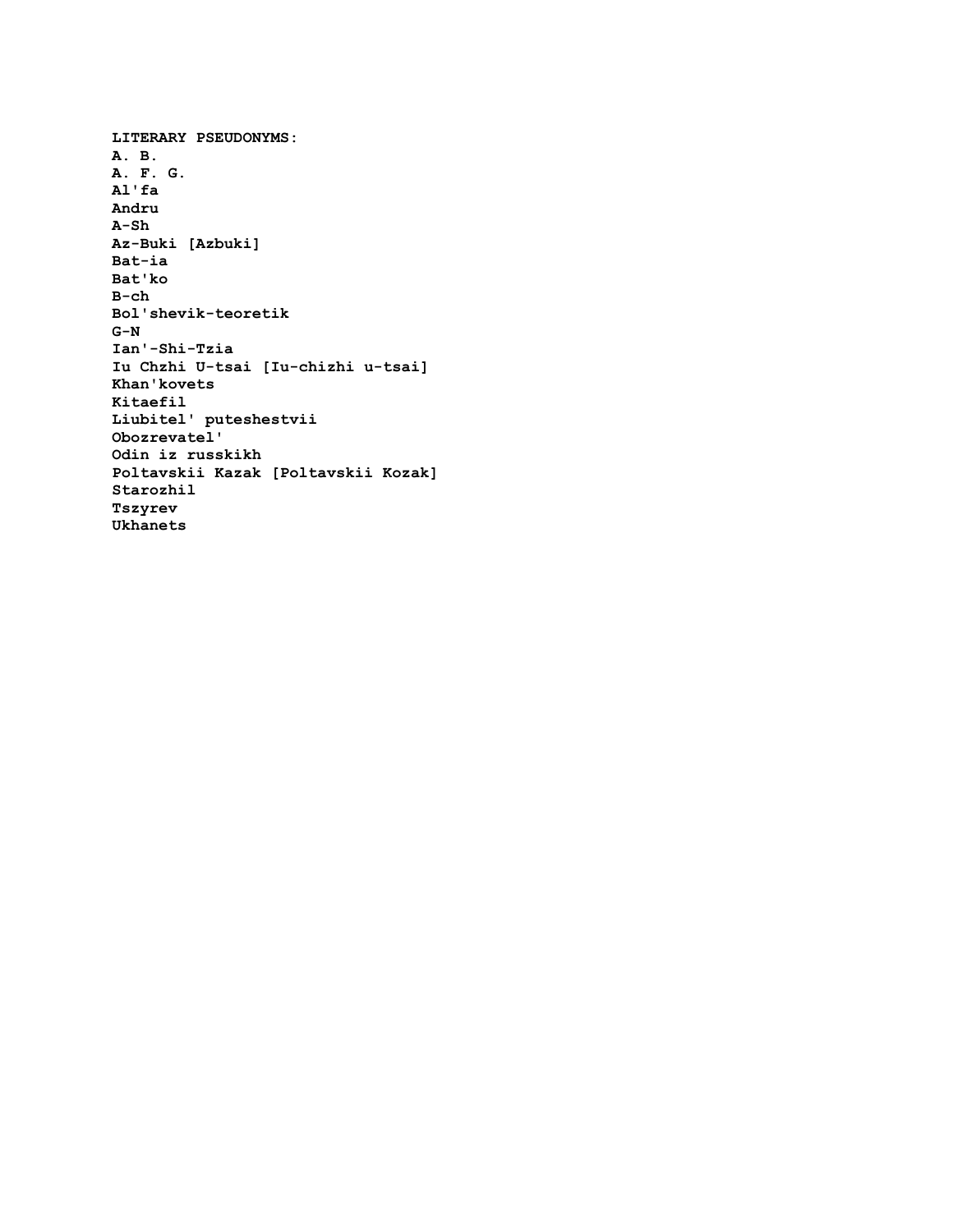**LITERARY PSEUDONYMS: A. B. A. F. G. Al'fa Andru A-Sh Az-Buki [Azbuki] Bat-ia Bat'ko B-ch Bol'shevik-teoretik G-N Ian'-Shi-Tzia Iu Chzhi U-tsai [Iu-chizhi u-tsai] Khan'kovets Kitaefil Liubitel' puteshestvii Obozrevatel' Odin iz russkikh Poltavskii Kazak [Poltavskii Kozak] Starozhil Tszyrev Ukhanets**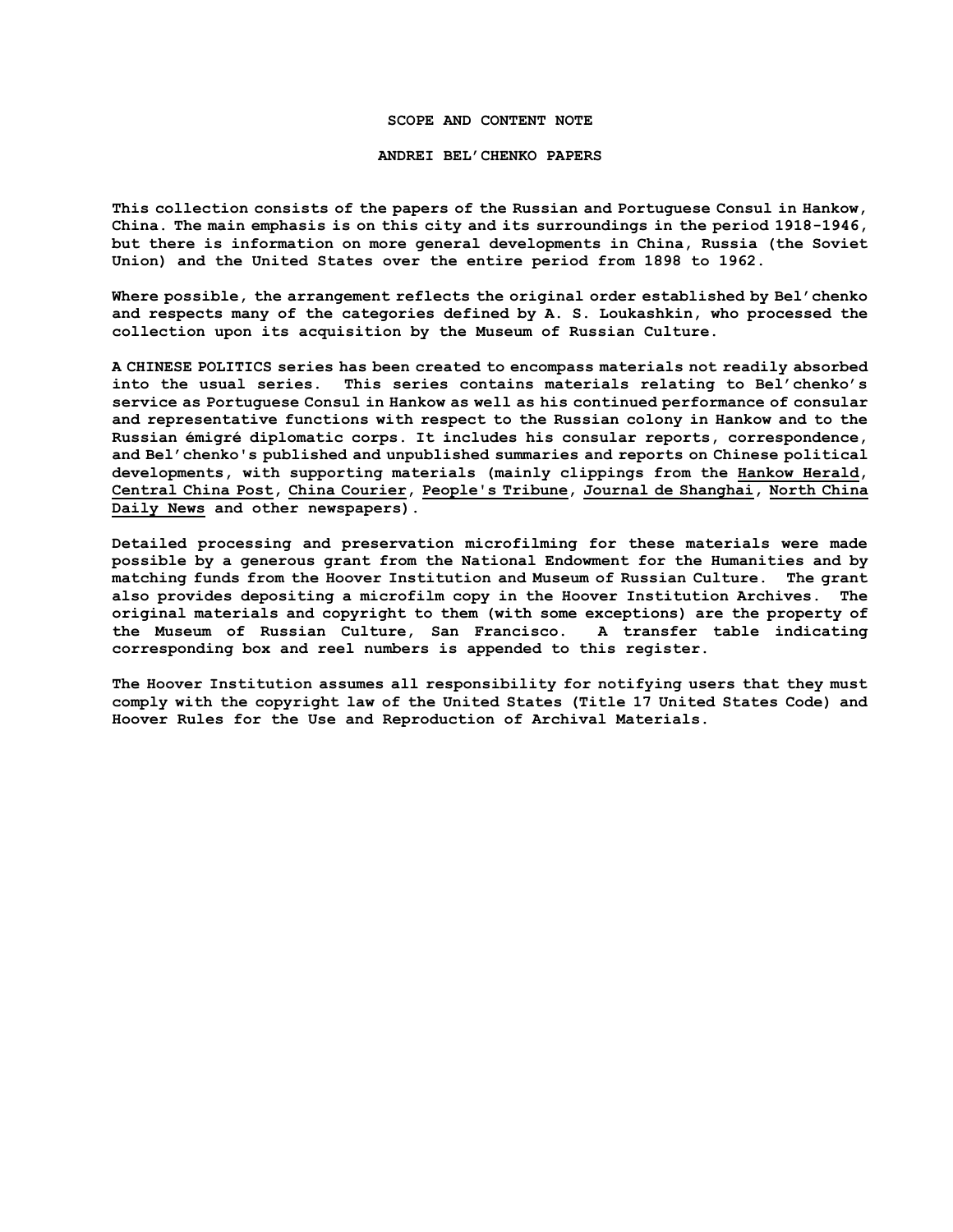### **SCOPE AND CONTENT NOTE**

#### **ANDREI BEL'CHENKO PAPERS**

**This collection consists of the papers of the Russian and Portuguese Consul in Hankow, China. The main emphasis is on this city and its surroundings in the period 1918-1946, but there is information on more general developments in China, Russia (the Soviet Union) and the United States over the entire period from 1898 to 1962.** 

**Where possible, the arrangement reflects the original order established by Bel'chenko and respects many of the categories defined by A. S. Loukashkin, who processed the collection upon its acquisition by the Museum of Russian Culture.**

**A CHINESE POLITICS series has been created to encompass materials not readily absorbed into the usual series. This series contains materials relating to Bel'chenko's service as Portuguese Consul in Hankow as well as his continued performance of consular and representative functions with respect to the Russian colony in Hankow and to the Russian émigré diplomatic corps. It includes his consular reports, correspondence, and Bel'chenko's published and unpublished summaries and reports on Chinese political developments, with supporting materials (mainly clippings from the Hankow Herald, Central China Post, China Courier, People's Tribune, Journal de Shanghai, North China Daily News and other newspapers).**

**Detailed processing and preservation microfilming for these materials were made possible by a generous grant from the National Endowment for the Humanities and by matching funds from the Hoover Institution and Museum of Russian Culture. The grant also provides depositing a microfilm copy in the Hoover Institution Archives. The original materials and copyright to them (with some exceptions) are the property of the Museum of Russian Culture, San Francisco. A transfer table indicating corresponding box and reel numbers is appended to this register.**

**The Hoover Institution assumes all responsibility for notifying users that they must comply with the copyright law of the United States (Title 17 United States Code) and Hoover Rules for the Use and Reproduction of Archival Materials.**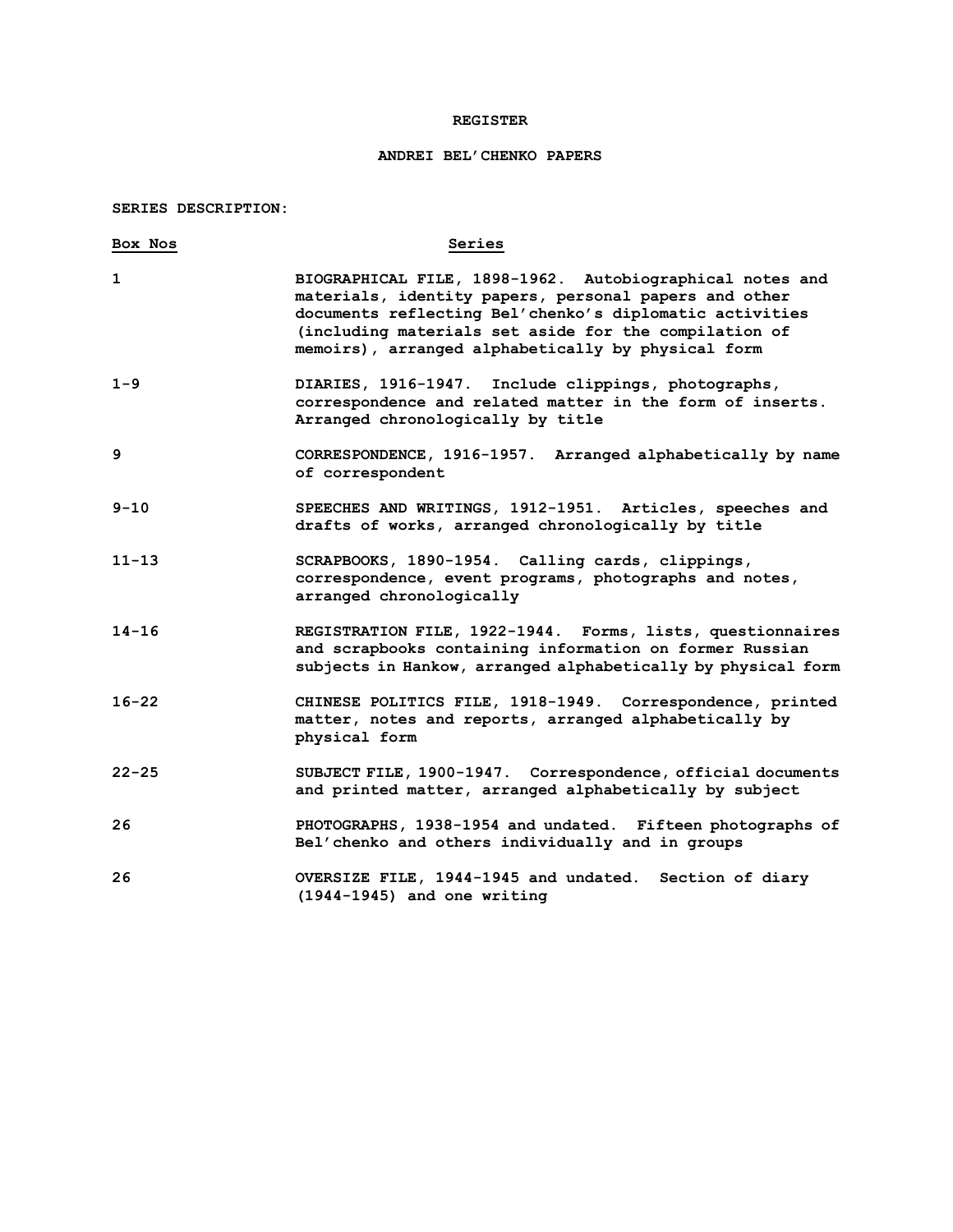## **REGISTER**

# **ANDREI BEL'CHENKO PAPERS**

## **SERIES DESCRIPTION:**

| Box Nos   | Series                                                                                                                                                                                                                                                                                      |
|-----------|---------------------------------------------------------------------------------------------------------------------------------------------------------------------------------------------------------------------------------------------------------------------------------------------|
| 1         | BIOGRAPHICAL FILE, 1898-1962. Autobiographical notes and<br>materials, identity papers, personal papers and other<br>documents reflecting Bel'chenko's diplomatic activities<br>(including materials set aside for the compilation of<br>memoirs), arranged alphabetically by physical form |
| $1 - 9$   | DIARIES, 1916-1947. Include clippings, photographs,<br>correspondence and related matter in the form of inserts.<br>Arranged chronologically by title                                                                                                                                       |
| 9         | CORRESPONDENCE, 1916-1957. Arranged alphabetically by name<br>of correspondent                                                                                                                                                                                                              |
| $9 - 10$  | SPEECHES AND WRITINGS, 1912-1951. Articles, speeches and<br>drafts of works, arranged chronologically by title                                                                                                                                                                              |
| $11 - 13$ | SCRAPBOOKS, 1890-1954. Calling cards, clippings,<br>correspondence, event programs, photographs and notes,<br>arranged chronologically                                                                                                                                                      |
| $14 - 16$ | REGISTRATION FILE, 1922-1944. Forms, lists, questionnaires<br>and scrapbooks containing information on former Russian<br>subjects in Hankow, arranged alphabetically by physical form                                                                                                       |
| $16 - 22$ | CHINESE POLITICS FILE, 1918-1949. Correspondence, printed<br>matter, notes and reports, arranged alphabetically by<br>physical form                                                                                                                                                         |
| $22 - 25$ | SUBJECT FILE, 1900-1947. Correspondence, official documents<br>and printed matter, arranged alphabetically by subject                                                                                                                                                                       |
| 26        | PHOTOGRAPHS, 1938-1954 and undated. Fifteen photographs of<br>Bel'chenko and others individually and in groups                                                                                                                                                                              |
| 26        | OVERSIZE FILE, 1944-1945 and undated. Section of diary<br>$(1944-1945)$ and one writing                                                                                                                                                                                                     |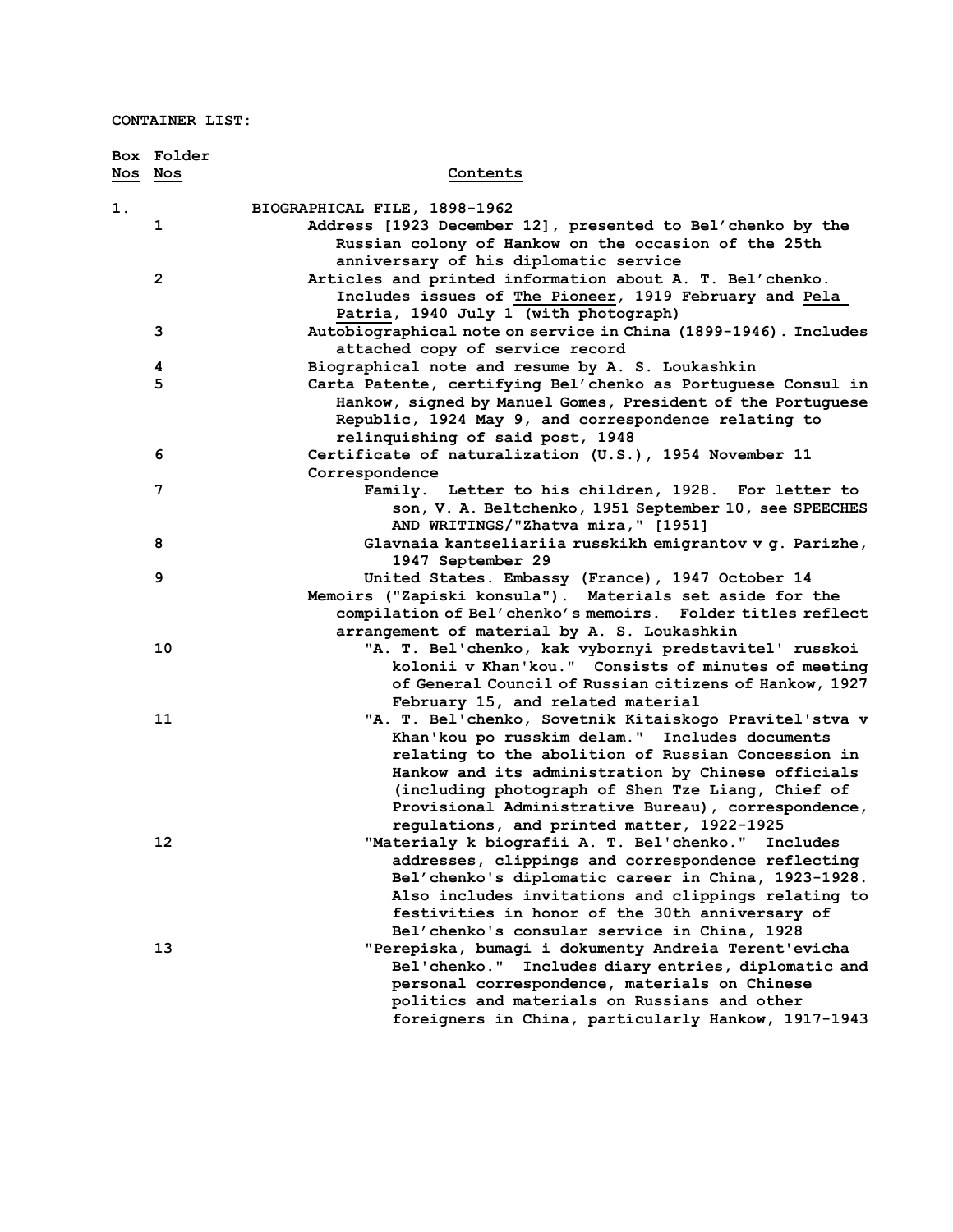**CONTAINER LIST:**

|    | <b>Box Folder</b><br>Nos Nos | Contents                                                                                                  |
|----|------------------------------|-----------------------------------------------------------------------------------------------------------|
|    |                              |                                                                                                           |
| 1. |                              | BIOGRAPHICAL FILE, 1898-1962                                                                              |
|    | 1                            | Address [1923 December 12], presented to Bel'chenko by the                                                |
|    |                              | Russian colony of Hankow on the occasion of the 25th                                                      |
|    |                              | anniversary of his diplomatic service                                                                     |
|    | $\mathbf{2}$                 | Articles and printed information about A. T. Bel'chenko.                                                  |
|    |                              | Includes issues of The Pioneer, 1919 February and Pela                                                    |
|    |                              | Patria, 1940 July 1 (with photograph)                                                                     |
|    | з                            | Autobiographical note on service in China (1899-1946). Includes                                           |
|    |                              | attached copy of service record                                                                           |
|    | 4                            | Biographical note and resume by A. S. Loukashkin                                                          |
|    | 5                            | Carta Patente, certifying Bel'chenko as Portuguese Consul in                                              |
|    |                              | Hankow, signed by Manuel Gomes, President of the Portuguese                                               |
|    |                              | Republic, 1924 May 9, and correspondence relating to                                                      |
|    | 6                            | relinquishing of said post, 1948<br>Certificate of naturalization (U.S.), 1954 November 11                |
|    |                              | Correspondence                                                                                            |
|    | 7                            | Family. Letter to his children, 1928. For letter to                                                       |
|    |                              | son, V. A. Beltchenko, 1951 September 10, see SPEECHES                                                    |
|    |                              | AND WRITINGS/"Zhatva mira," [1951]                                                                        |
|    | 8                            | Glavnaia kantseliariia russkikh emigrantov v g. Parizhe,                                                  |
|    |                              | 1947 September 29                                                                                         |
|    | 9                            | United States. Embassy (France), 1947 October 14                                                          |
|    |                              | Memoirs ("Zapiski konsula"). Materials set aside for the                                                  |
|    |                              | compilation of Bel'chenko's memoirs. Folder titles reflect                                                |
|    |                              | arrangement of material by A. S. Loukashkin                                                               |
|    | 10                           | "A. T. Bel'chenko, kak vybornyi predstavitel' russkoi                                                     |
|    |                              | kolonii v Khan'kou." Consists of minutes of meeting                                                       |
|    |                              | of General Council of Russian citizens of Hankow, 1927                                                    |
|    |                              | February 15, and related material                                                                         |
|    | 11                           | "A. T. Bel'chenko, Sovetnik Kitaiskogo Pravitel'stva v                                                    |
|    |                              | Khan'kou po russkim delam." Includes documents                                                            |
|    |                              | relating to the abolition of Russian Concession in                                                        |
|    |                              | Hankow and its administration by Chinese officials                                                        |
|    |                              | (including photograph of Shen Tze Liang, Chief of                                                         |
|    |                              | Provisional Administrative Bureau), correspondence,                                                       |
|    |                              | regulations, and printed matter, 1922-1925                                                                |
|    | 12                           | "Materialy k biografii A. T. Bel'chenko." Includes                                                        |
|    |                              | addresses, clippings and correspondence reflecting<br>Bel'chenko's diplomatic career in China, 1923-1928. |
|    |                              |                                                                                                           |
|    |                              | Also includes invitations and clippings relating to<br>festivities in honor of the 30th anniversary of    |
|    |                              | Bel'chenko's consular service in China, 1928                                                              |
|    | 13                           | "Perepiska, bumagi i dokumenty Andreia Terent'evicha                                                      |
|    |                              | Bel'chenko." Includes diary entries, diplomatic and                                                       |
|    |                              | personal correspondence, materials on Chinese                                                             |
|    |                              | politics and materials on Russians and other                                                              |
|    |                              | foreigners in China, particularly Hankow, 1917-1943                                                       |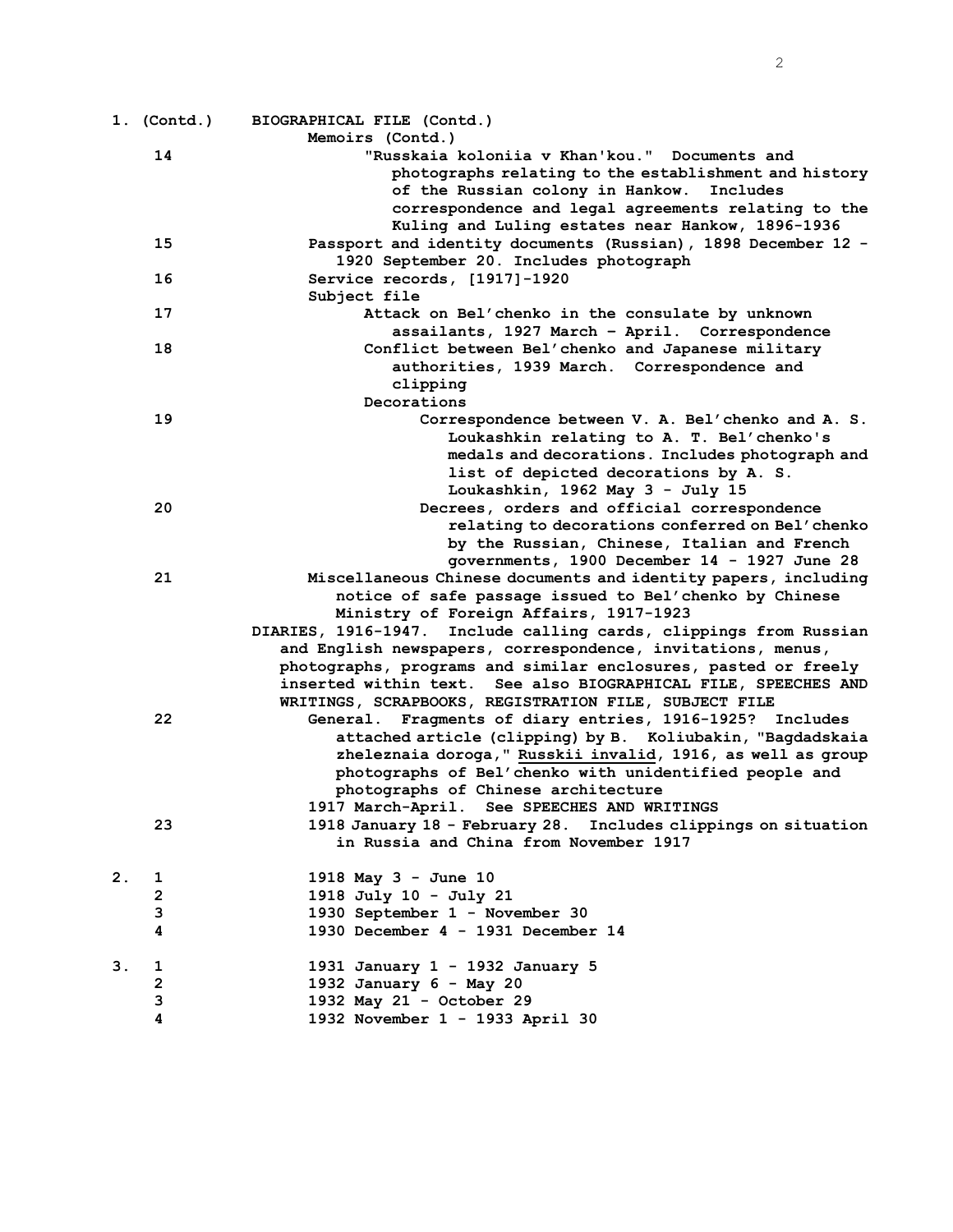|               | $1.$ (Contd.) | BIOGRAPHICAL FILE (Contd.)                                                                                                                             |
|---------------|---------------|--------------------------------------------------------------------------------------------------------------------------------------------------------|
|               |               | Memoirs (Contd.)                                                                                                                                       |
|               | 14            | "Russkaia koloniia v Khan'kou." Documents and<br>photographs relating to the establishment and history<br>of the Russian colony in Hankow.<br>Includes |
|               |               | correspondence and legal agreements relating to the<br>Kuling and Luling estates near Hankow, 1896-1936                                                |
|               | 15            | Passport and identity documents (Russian), 1898 December 12 -                                                                                          |
|               |               | 1920 September 20. Includes photograph                                                                                                                 |
|               | 16            | Service records, [1917]-1920                                                                                                                           |
|               |               | Subject file                                                                                                                                           |
|               | 17            | Attack on Bel'chenko in the consulate by unknown                                                                                                       |
|               | 18            | assailants, 1927 March - April. Correspondence                                                                                                         |
|               |               | Conflict between Bel'chenko and Japanese military<br>authorities, 1939 March. Correspondence and                                                       |
|               |               | clipping                                                                                                                                               |
|               |               | Decorations                                                                                                                                            |
|               | 19            | Correspondence between V. A. Bel'chenko and A. S.                                                                                                      |
|               |               | Loukashkin relating to A. T. Bel'chenko's                                                                                                              |
|               |               | medals and decorations. Includes photograph and                                                                                                        |
|               |               | list of depicted decorations by A. S.                                                                                                                  |
|               |               | Loukashkin, 1962 May 3 - July 15                                                                                                                       |
|               | 20            | Decrees, orders and official correspondence                                                                                                            |
|               |               | relating to decorations conferred on Bel'chenko                                                                                                        |
|               |               | by the Russian, Chinese, Italian and French                                                                                                            |
|               | 21            | governments, 1900 December 14 - 1927 June 28<br>Miscellaneous Chinese documents and identity papers, including                                         |
|               |               | notice of safe passage issued to Bel'chenko by Chinese                                                                                                 |
|               |               | Ministry of Foreign Affairs, 1917-1923                                                                                                                 |
|               |               | DIARIES, 1916-1947. Include calling cards, clippings from Russian                                                                                      |
|               |               | and English newspapers, correspondence, invitations, menus,                                                                                            |
|               |               | photographs, programs and similar enclosures, pasted or freely                                                                                         |
|               |               | inserted within text. See also BIOGRAPHICAL FILE, SPEECHES AND                                                                                         |
|               |               | WRITINGS, SCRAPBOOKS, REGISTRATION FILE, SUBJECT FILE                                                                                                  |
|               | 22            | General. Fragments of diary entries, 1916-1925? Includes                                                                                               |
|               |               | attached article (clipping) by B. Koliubakin, "Bagdadskaia                                                                                             |
|               |               | zheleznaia doroga," Russkii invalid, 1916, as well as group<br>photographs of Bel'chenko with unidentified people and                                  |
|               |               | photographs of Chinese architecture                                                                                                                    |
|               |               | 1917 March-April. See SPEECHES AND WRITINGS                                                                                                            |
|               | 23            | 1918 January 18 - February 28. Includes clippings on situation                                                                                         |
|               |               | in Russia and China from November 1917                                                                                                                 |
|               |               |                                                                                                                                                        |
| 2.            | 1             | 1918 May 3 - June 10                                                                                                                                   |
|               | 2<br>3        | 1918 July 10 - July 21<br>1930 September 1 - November 30                                                                                               |
|               | 4             | 1930 December 4 - 1931 December 14                                                                                                                     |
|               |               |                                                                                                                                                        |
| $\mathbf 3$ . | 1             | 1931 January 1 - 1932 January 5                                                                                                                        |
|               | 2             | 1932 January 6 - May 20                                                                                                                                |
|               | 3             | 1932 May 21 - October 29                                                                                                                               |
|               | 4             | 1932 November 1 - 1933 April 30                                                                                                                        |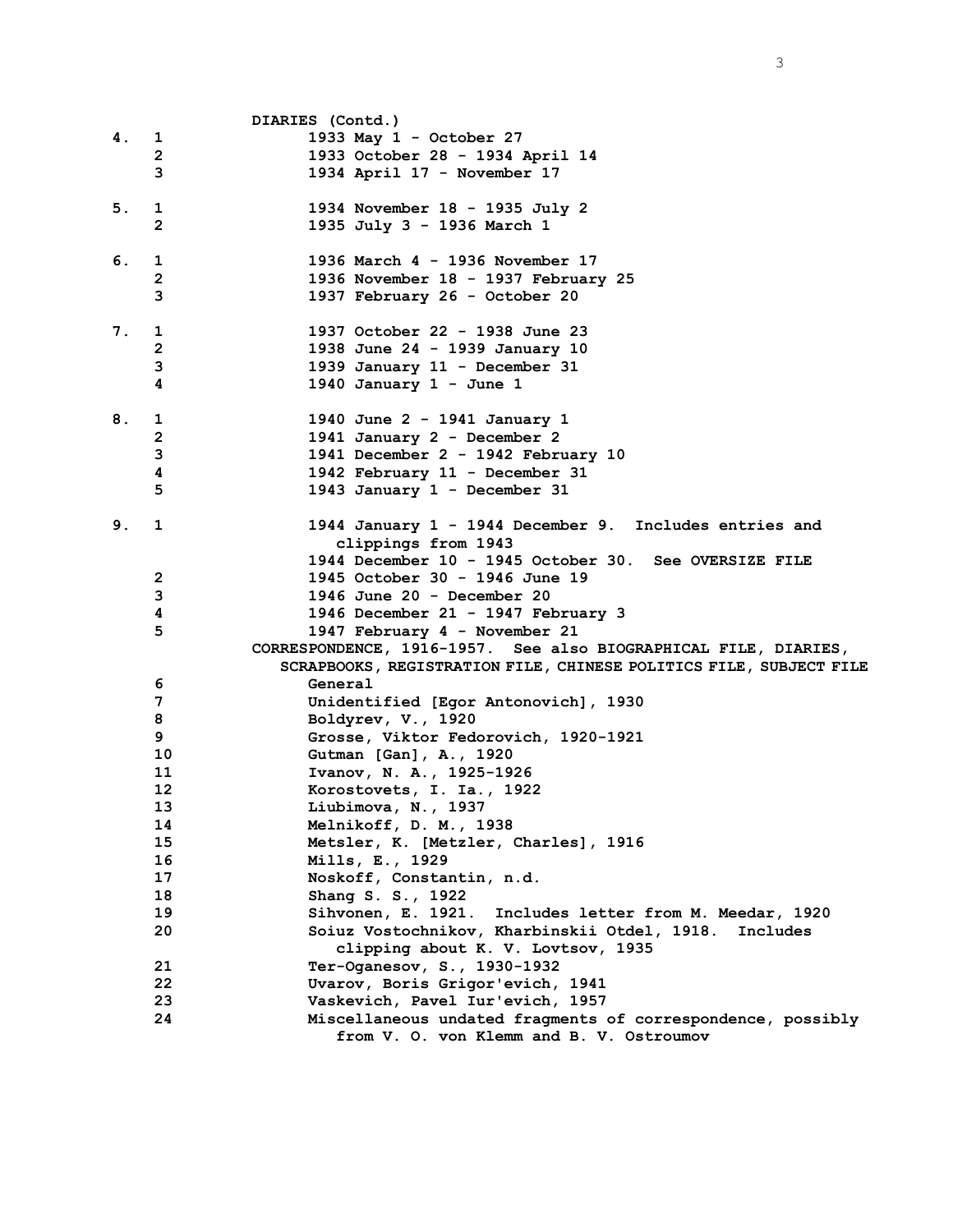|    |                | DIARIES (Contd.)                                                                                                                      |
|----|----------------|---------------------------------------------------------------------------------------------------------------------------------------|
| 4. | $\mathbf{1}$   | 1933 May 1 - October 27                                                                                                               |
|    | $\mathbf{2}$   | 1933 October 28 - 1934 April 14                                                                                                       |
|    | 3              | 1934 April 17 - November 17                                                                                                           |
| 5. | 1              | 1934 November 18 - 1935 July 2                                                                                                        |
|    | $\mathbf{2}$   | 1935 July 3 - 1936 March 1                                                                                                            |
| 6. | 1              | 1936 March 4 - 1936 November 17                                                                                                       |
|    | $\mathbf{2}$   | 1936 November 18 - 1937 February 25                                                                                                   |
|    | 3              | 1937 February 26 - October 20                                                                                                         |
| 7. | 1              | 1937 October 22 - 1938 June 23                                                                                                        |
|    | 2              | 1938 June 24 - 1939 January 10                                                                                                        |
|    | 3              | 1939 January 11 - December 31                                                                                                         |
|    | 4              | 1940 January $1 -$ June 1                                                                                                             |
| 8. | 1              | 1940 June 2 - 1941 January 1                                                                                                          |
|    | $\overline{2}$ | 1941 January 2 - December 2                                                                                                           |
|    | 3              | 1941 December 2 - 1942 February 10                                                                                                    |
|    | 4              | 1942 February 11 - December 31                                                                                                        |
|    | 5              | 1943 January 1 - December 31                                                                                                          |
| 9. | $\mathbf 1$    | 1944 January 1 - 1944 December 9. Includes entries and                                                                                |
|    |                | clippings from 1943                                                                                                                   |
|    |                | 1944 December 10 - 1945 October 30. See OVERSIZE FILE                                                                                 |
|    | $\overline{2}$ | 1945 October 30 - 1946 June 19                                                                                                        |
|    | 3              | 1946 June 20 - December 20<br>1946 December 21 - 1947 February 3                                                                      |
|    | 4<br>5         |                                                                                                                                       |
|    |                | 1947 February 4 - November 21                                                                                                         |
|    |                | CORRESPONDENCE, 1916-1957. See also BIOGRAPHICAL FILE, DIARIES,<br>SCRAPBOOKS, REGISTRATION FILE, CHINESE POLITICS FILE, SUBJECT FILE |
|    | 6              | General                                                                                                                               |
|    | 7              | Unidentified [Egor Antonovich], 1930                                                                                                  |
|    | 8              | Boldyrev, V., 1920                                                                                                                    |
|    | 9              | Grosse, Viktor Fedorovich, 1920-1921                                                                                                  |
|    | 10             | Gutman [Gan], A., 1920                                                                                                                |
|    | 11             | Ivanov, N. A., 1925-1926                                                                                                              |
|    | 12             | Korostovets, I. Ia., 1922                                                                                                             |
|    | 13             | Liubimova, N., 1937                                                                                                                   |
|    | 14             | Melnikoff, D. M., 1938                                                                                                                |
|    | 15             | Metsler, K. [Metzler, Charles], 1916                                                                                                  |
|    | 16             | Mills, E., 1929                                                                                                                       |
|    | 17             | Noskoff, Constantin, n.d.                                                                                                             |
|    | 18             | Shang S. S., 1922                                                                                                                     |
|    | 19             | Sihvonen, E. 1921. Includes letter from M. Meedar, 1920                                                                               |
|    | 20             | Soiuz Vostochnikov, Kharbinskii Otdel, 1918. Includes                                                                                 |
|    |                | clipping about K. V. Lovtsov, 1935                                                                                                    |
|    | 21             | Ter-Oganesov, S., 1930-1932                                                                                                           |
|    | 22             | Uvarov, Boris Grigor'evich, 1941                                                                                                      |
|    | 23             | Vaskevich, Pavel Iur'evich, 1957                                                                                                      |
|    | 24             | Miscellaneous undated fragments of correspondence, possibly                                                                           |
|    |                | from V. O. von Klemm and B. V. Ostroumov                                                                                              |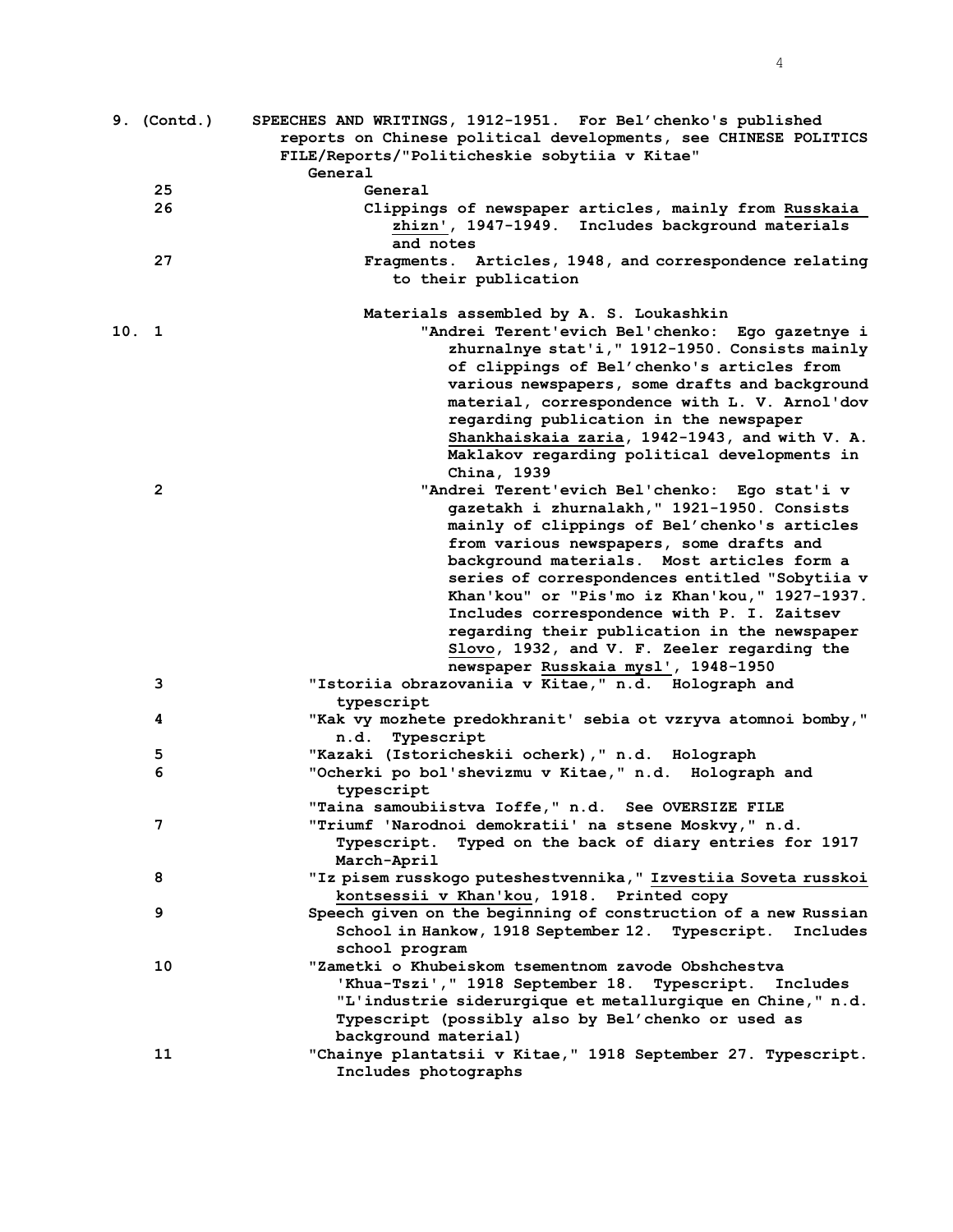| 9. (Contd.)  | SPEECHES AND WRITINGS, 1912-1951. For Bel'chenko's published        |
|--------------|---------------------------------------------------------------------|
|              | reports on Chinese political developments, see CHINESE POLITICS     |
|              | FILE/Reports/"Politicheskie sobytiia v Kitae"                       |
|              | General                                                             |
| 25           | General                                                             |
| 26           | Clippings of newspaper articles, mainly from Russkaia               |
|              | zhizn', 1947-1949. Includes background materials                    |
|              | and notes                                                           |
| 27           | Fragments. Articles, 1948, and correspondence relating              |
|              | to their publication                                                |
|              | Materials assembled by A. S. Loukashkin                             |
| 10.1         | "Andrei Terent'evich Bel'chenko: Ego gazetnye i                     |
|              | zhurnalnye stat'i, " 1912-1950. Consists mainly                     |
|              | of clippings of Bel'chenko's articles from                          |
|              | various newspapers, some drafts and background                      |
|              | material, correspondence with L. V. Arnol'dov                       |
|              | regarding publication in the newspaper                              |
|              | Shankhaiskaia zaria, 1942-1943, and with V. A.                      |
|              | Maklakov regarding political developments in                        |
|              | China, 1939                                                         |
| $\mathbf{2}$ | "Andrei Terent'evich Bel'chenko: Ego stat'i v                       |
|              | gazetakh i zhurnalakh, " 1921-1950. Consists                        |
|              | mainly of clippings of Bel'chenko's articles                        |
|              | from various newspapers, some drafts and                            |
|              | background materials. Most articles form a                          |
|              | series of correspondences entitled "Sobytiia v                      |
|              | Khan'kou" or "Pis'mo iz Khan'kou," 1927-1937.                       |
|              | Includes correspondence with P. I. Zaitsev                          |
|              | regarding their publication in the newspaper                        |
|              | Slovo, 1932, and V. F. Zeeler regarding the                         |
|              | newspaper Russkaia mysl', 1948-1950                                 |
| 3            | "Istoriia obrazovaniia v Kitae," n.d. Holograph and                 |
|              | typescript                                                          |
| 4            | "Kak vy mozhete predokhranit' sebia ot vzryva atomnoi bomby,"       |
|              | Typescript<br>n.d.                                                  |
| 5<br>6       | "Kazaki (Istoricheskii ocherk), " n.d. Holograph                    |
|              | "Ocherki po bol'shevizmu v Kitae," n.d. Holograph and<br>typescript |
|              | "Taina samoubiistva Ioffe," n.d. See OVERSIZE FILE                  |
| 7            | "Triumf 'Narodnoi demokratii' na stsene Moskvy," n.d.               |
|              | Typescript. Typed on the back of diary entries for 1917             |
|              | March-April                                                         |
| 8            | "Iz pisem russkogo puteshestvennika," Izvestiia Soveta russkoi      |
|              | kontsessii v Khan'kou, 1918. Printed copy                           |
| 9            | Speech given on the beginning of construction of a new Russian      |
|              | School in Hankow, 1918 September 12. Typescript.<br>Includes        |
|              | school program                                                      |
| 10           | "Zametki o Khubeiskom tsementnom zavode Obshchestva                 |
|              | 'Khua-Tszi'," 1918 September 18.<br>Typescript. Includes            |
|              | "L'industrie siderurgique et metallurgique en Chine," n.d.          |
|              | Typescript (possibly also by Bel'chenko or used as                  |
|              | background material)                                                |
| 11           | "Chainye plantatsii v Kitae," 1918 September 27. Typescript.        |
|              | Includes photographs                                                |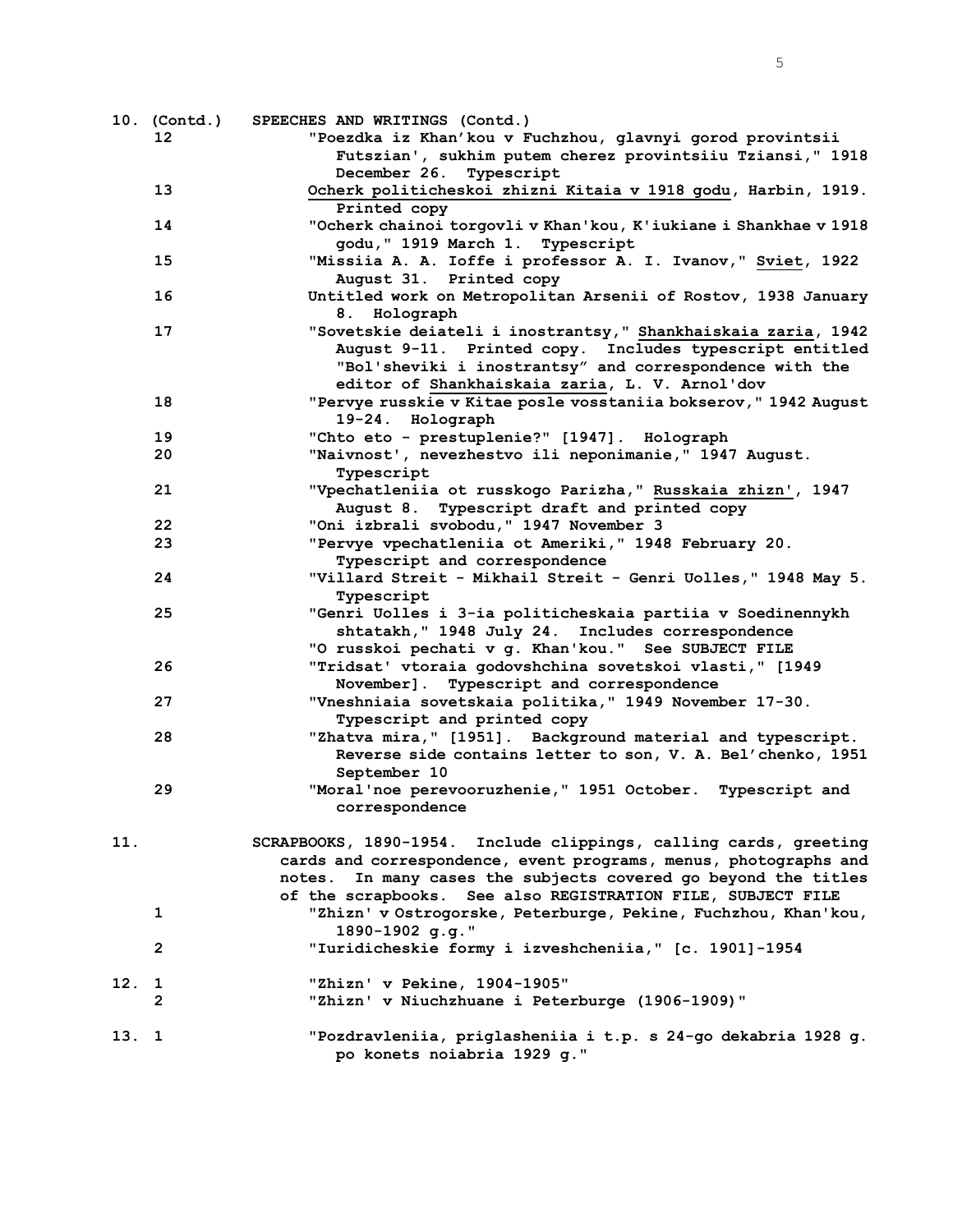|       | 10. (Contd.)    | SPEECHES AND WRITINGS (Contd.)                                    |
|-------|-----------------|-------------------------------------------------------------------|
|       | 12 <sup>2</sup> | "Poezdka iz Khan'kou v Fuchzhou, glavnyi gorod provintsii         |
|       |                 | Futszian', sukhim putem cherez provintsiiu Tziansi," 1918         |
|       |                 | December 26. Typescript                                           |
|       | 13              | Ocherk politicheskoi zhizni Kitaia v 1918 godu, Harbin, 1919.     |
|       |                 | Printed copy                                                      |
|       | 14              | "Ocherk chainoi torgovli v Khan'kou, K'iukiane i Shankhae v 1918  |
|       |                 | godu, " 1919 March 1. Typescript                                  |
|       | 15              | "Missiia A. A. Ioffe i professor A. I. Ivanov," Sviet, 1922       |
|       |                 | August 31. Printed copy                                           |
|       | 16              | Untitled work on Metropolitan Arsenii of Rostov, 1938 January     |
|       |                 |                                                                   |
|       |                 | 8. Holograph                                                      |
|       | 17              | "Sovetskie deiateli i inostrantsy," Shankhaiskaia zaria, 1942     |
|       |                 | August 9-11. Printed copy. Includes typescript entitled           |
|       |                 | "Bol'sheviki i inostrantsy" and correspondence with the           |
|       |                 | editor of Shankhaiskaia zaria, L. V. Arnol'dov                    |
|       | 18              | "Pervye russkie v Kitae posle vosstaniia bokserov," 1942 August   |
|       |                 | 19-24. Holograph                                                  |
|       | 19              | "Chto eto - prestuplenie?" [1947]. Holograph                      |
|       | 20              | "Naivnost', nevezhestvo ili neponimanie, " 1947 August.           |
|       |                 | Typescript                                                        |
|       | 21              | "Vpechatleniia ot russkogo Parizha," Russkaia zhizn', 1947        |
|       |                 | August 8. Typescript draft and printed copy                       |
|       | 22              | "Oni izbrali svobodu, " 1947 November 3                           |
|       | 23              | "Pervye vpechatleniia ot Ameriki," 1948 February 20.              |
|       |                 | Typescript and correspondence                                     |
|       | 24              | "Villard Streit - Mikhail Streit - Genri Uolles," 1948 May 5.     |
|       |                 | Typescript                                                        |
|       | 25              | "Genri Uolles i 3-ia politicheskaia partiia v Soedinennykh        |
|       |                 | shtatakh, " 1948 July 24. Includes correspondence                 |
|       |                 | "O russkoi pechati v g. Khan'kou." See SUBJECT FILE               |
|       | 26              | "Tridsat' vtoraia godovshchina sovetskoi vlasti," [1949           |
|       |                 |                                                                   |
|       |                 | November]. Typescript and correspondence                          |
|       | 27              | "Vneshniaia sovetskaia politika," 1949 November 17-30.            |
|       |                 | Typescript and printed copy                                       |
|       | 28              | "Zhatva mira," [1951]. Background material and typescript.        |
|       |                 | Reverse side contains letter to son, V. A. Bel'chenko, 1951       |
|       |                 | September 10                                                      |
|       | 29              | "Moral'noe perevooruzhenie," 1951 October. Typescript and         |
|       |                 | correspondence                                                    |
|       |                 |                                                                   |
| 11.   |                 | SCRAPBOOKS, 1890-1954. Include clippings, calling cards, greeting |
|       |                 | cards and correspondence, event programs, menus, photographs and  |
|       |                 | In many cases the subjects covered go beyond the titles<br>notes. |
|       |                 | of the scrapbooks. See also REGISTRATION FILE, SUBJECT FILE       |
|       | 1               | "Zhizn' v Ostrogorske, Peterburge, Pekine, Fuchzhou, Khan'kou,    |
|       |                 | 1890-1902 g.g."                                                   |
|       | $\overline{2}$  | "Iuridicheskie formy i izveshcheniia," [c. 1901]-1954             |
|       |                 |                                                                   |
| 12.   | 1               | "Zhizn' v Pekine, 1904-1905"                                      |
|       | $\mathbf{2}$    | "Zhizn' v Niuchzhuane i Peterburge (1906-1909)"                   |
|       |                 |                                                                   |
| 13. 1 |                 | "Pozdravleniia, priglasheniia i t.p. s 24-go dekabria 1928 g.     |
|       |                 | po konets noiabria 1929 g."                                       |
|       |                 |                                                                   |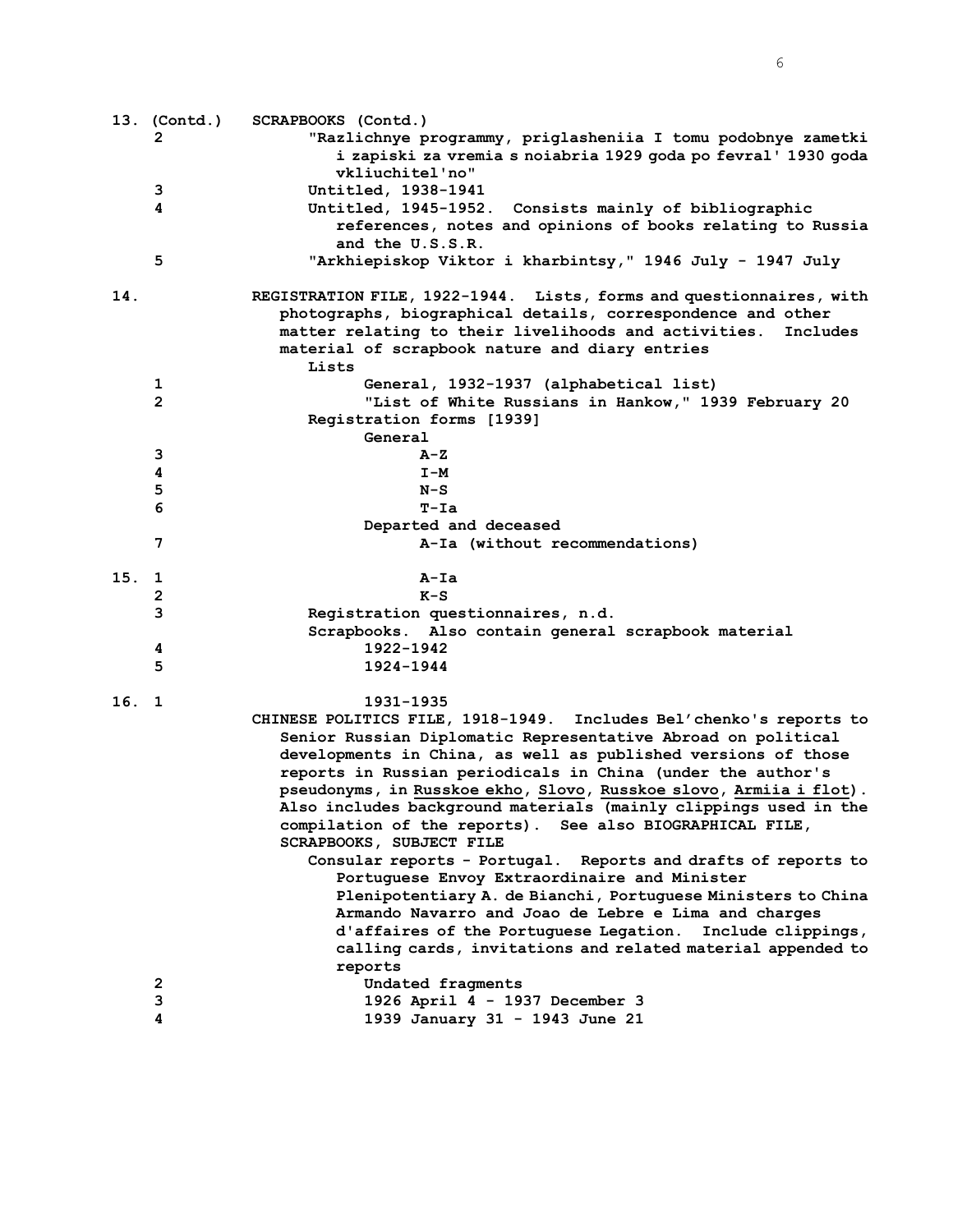|       | 13. (Contd.) | SCRAPBOOKS (Contd.)                                                                  |
|-------|--------------|--------------------------------------------------------------------------------------|
|       | 2            | "Razlichnye programmy, priglasheniia I tomu podobnye zametki                         |
|       |              | i zapiski za vremia s noiabria 1929 goda po fevral' 1930 goda                        |
|       |              | vkliuchitel'no"                                                                      |
|       | 3            | Untitled, 1938-1941                                                                  |
|       | 4            | Untitled, 1945-1952. Consists mainly of bibliographic                                |
|       |              | references, notes and opinions of books relating to Russia                           |
|       |              | and the U.S.S.R.                                                                     |
|       | 5            | "Arkhiepiskop Viktor i kharbintsy," 1946 July - 1947 July                            |
| 14.   |              | REGISTRATION FILE, 1922-1944. Lists, forms and questionnaires, with                  |
|       |              | photographs, biographical details, correspondence and other                          |
|       |              | matter relating to their livelihoods and activities.<br>Includes                     |
|       |              | material of scrapbook nature and diary entries                                       |
|       |              | Lists                                                                                |
|       | 1            | General, 1932-1937 (alphabetical list)                                               |
|       | $\mathbf{2}$ | "List of White Russians in Hankow," 1939 February 20                                 |
|       |              | Registration forms [1939]                                                            |
|       |              | General                                                                              |
|       | 3            | A-Z                                                                                  |
|       | 4            | $I-M$                                                                                |
|       | 5            | $N-S$                                                                                |
|       | 6            | $T-Ta$                                                                               |
|       |              | Departed and deceased                                                                |
|       | 7            | A-Ia (without recommendations)                                                       |
| 15.   | 1            | $A-Ia$                                                                               |
|       | $\mathbf{2}$ | $K-S$                                                                                |
|       | 3            | Registration questionnaires, n.d.                                                    |
|       |              | Scrapbooks. Also contain general scrapbook material                                  |
|       | 4            | 1922-1942                                                                            |
|       | 5            | 1924-1944                                                                            |
| 16. 1 |              | 1931–1935                                                                            |
|       |              | CHINESE POLITICS FILE, 1918-1949. Includes Bel'chenko's reports to                   |
|       |              | Senior Russian Diplomatic Representative Abroad on political                         |
|       |              | developments in China, as well as published versions of those                        |
|       |              | reports in Russian periodicals in China (under the author's                          |
|       |              | pseudonyms, in Russkoe ekho, Slovo, Russkoe slovo, Armiia i flot).                   |
|       |              | Also includes background materials (mainly clippings used in the                     |
|       |              | compilation of the reports). See also BIOGRAPHICAL FILE,<br>SCRAPBOOKS, SUBJECT FILE |
|       |              | Consular reports - Portugal. Reports and drafts of reports to                        |
|       |              | Portuguese Envoy Extraordinaire and Minister                                         |
|       |              | Plenipotentiary A. de Bianchi, Portuguese Ministers to China                         |
|       |              | Armando Navarro and Joao de Lebre e Lima and charges                                 |
|       |              | d'affaires of the Portuguese Legation. Include clippings,                            |
|       |              | calling cards, invitations and related material appended to                          |
|       |              | reports                                                                              |
|       | 2            | Undated fragments                                                                    |
|       | 3            | 1926 April 4 - 1937 December 3                                                       |
|       | 4            | 1939 January 31 - 1943 June 21                                                       |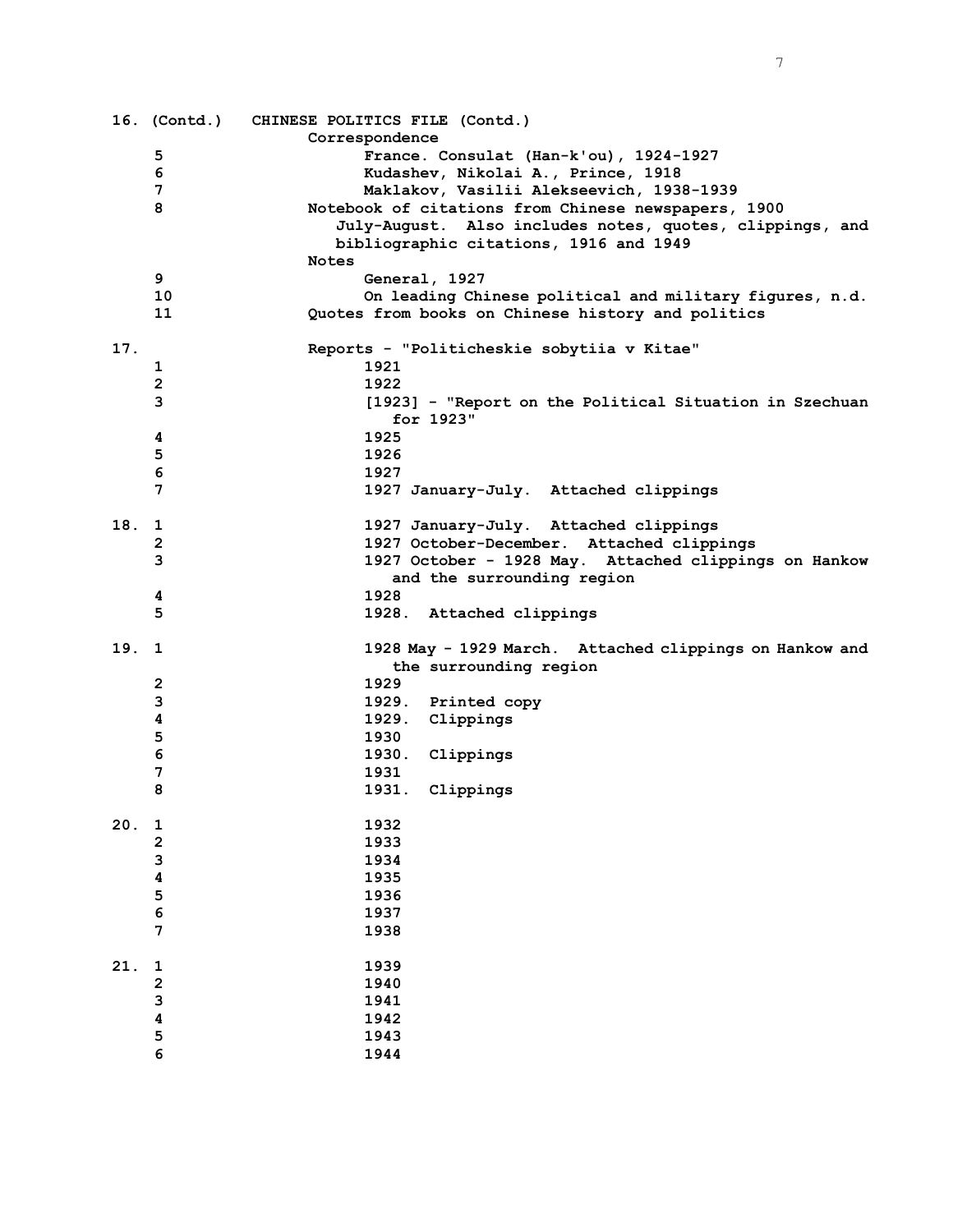|      |                         | 16. (Contd.) CHINESE POLITICS FILE (Contd.)              |
|------|-------------------------|----------------------------------------------------------|
|      |                         | Correspondence                                           |
|      | 5                       | France. Consulat (Han-k'ou), 1924-1927                   |
|      | 6                       | Kudashev, Nikolai A., Prince, 1918                       |
|      | 7                       | Maklakov, Vasilii Alekseevich, 1938-1939                 |
|      | 8                       | Notebook of citations from Chinese newspapers, 1900      |
|      |                         | July-August. Also includes notes, quotes, clippings, and |
|      |                         | bibliographic citations, 1916 and 1949                   |
|      |                         | <b>Notes</b>                                             |
|      | 9                       | General, 1927                                            |
|      | 10                      | On leading Chinese political and military figures, n.d.  |
|      | 11                      | Quotes from books on Chinese history and politics        |
|      |                         |                                                          |
| 17.  |                         | Reports - "Politicheskie sobytiia v Kitae"               |
|      | 1                       | 1921                                                     |
|      | $\mathbf{2}$            | 1922                                                     |
|      | 3                       | [1923] - "Report on the Political Situation in Szechuan  |
|      |                         | for 1923"                                                |
|      | 4                       | 1925                                                     |
|      | 5                       | 1926                                                     |
|      | 6                       | 1927                                                     |
|      | 7                       | 1927 January-July. Attached clippings                    |
|      |                         |                                                          |
| 18.  | $\mathbf{1}$            | 1927 January-July. Attached clippings                    |
|      | $\mathbf{2}$            | 1927 October-December. Attached clippings                |
|      | 3                       | 1927 October - 1928 May. Attached clippings on Hankow    |
|      |                         | and the surrounding region                               |
|      |                         | 1928                                                     |
|      | 4<br>5                  |                                                          |
|      |                         | 1928. Attached clippings                                 |
| 19.1 |                         | 1928 May - 1929 March. Attached clippings on Hankow and  |
|      |                         | the surrounding region                                   |
|      | 2                       | 1929                                                     |
|      | 3                       | 1929. Printed copy                                       |
|      | 4                       | 1929. Clippings                                          |
|      | 5                       | 1930                                                     |
|      | 6                       | 1930. Clippings                                          |
|      | 7                       | 1931                                                     |
|      | 8                       | 1931. Clippings                                          |
|      |                         |                                                          |
| 20.  | $\mathbf 1$             | 1932                                                     |
|      | $\overline{\mathbf{c}}$ | 1933                                                     |
|      | 3                       | 1934                                                     |
|      | $\overline{\mathbf{4}}$ | 1935                                                     |
|      | 5                       | 1936                                                     |
|      | 6                       | 1937                                                     |
|      | 7                       |                                                          |
|      |                         | 1938                                                     |
| 21.  | 1                       | 1939                                                     |
|      | $\overline{\mathbf{c}}$ | 1940                                                     |
|      | 3                       | 1941                                                     |
|      | $\overline{\mathbf{4}}$ | 1942                                                     |
|      | 5                       | 1943                                                     |
|      | 6                       | 1944                                                     |
|      |                         |                                                          |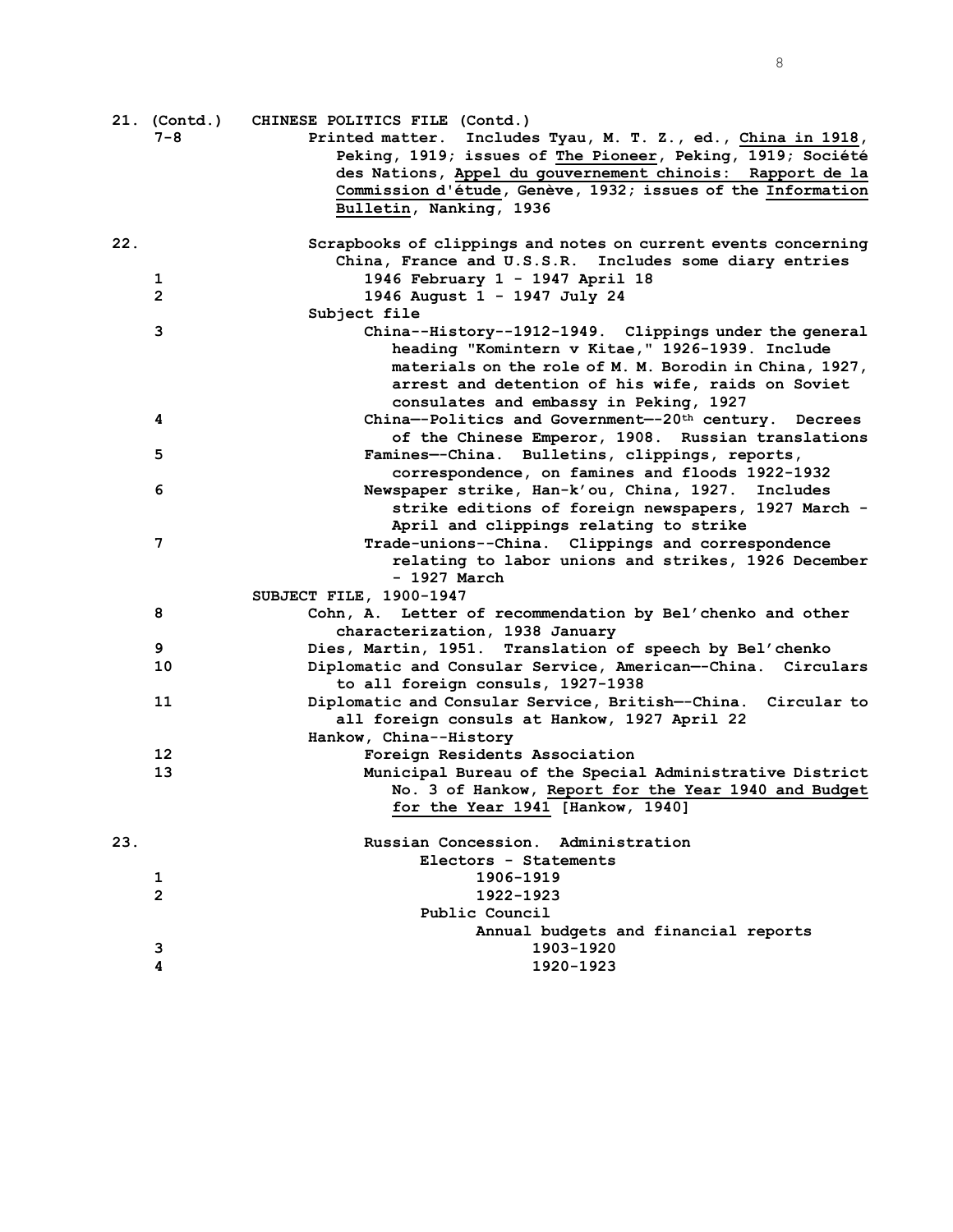|     | 21. (Contd.)<br>$7 - 8$ | CHINESE POLITICS FILE (Contd.)<br>Printed matter. Includes Tyau, M. T. Z., ed., China in 1918,   |
|-----|-------------------------|--------------------------------------------------------------------------------------------------|
|     |                         | Peking, 1919; issues of The Pioneer, Peking, 1919; Société                                       |
|     |                         | des Nations, Appel du gouvernement chinois: Rapport de la                                        |
|     |                         | Commission d'étude, Genève, 1932; issues of the Information                                      |
|     |                         | Bulletin, Nanking, 1936                                                                          |
| 22. |                         | Scrapbooks of clippings and notes on current events concerning                                   |
|     |                         | China, France and U.S.S.R. Includes some diary entries                                           |
|     | 1                       | 1946 February 1 - 1947 April 18                                                                  |
|     | $\overline{2}$          | 1946 August 1 - 1947 July 24<br>Subject file                                                     |
|     | 3                       | China--History--1912-1949. Clippings under the general                                           |
|     |                         | heading "Komintern v Kitae," 1926-1939. Include                                                  |
|     |                         | materials on the role of M. M. Borodin in China, 1927,                                           |
|     |                         | arrest and detention of his wife, raids on Soviet                                                |
|     |                         | consulates and embassy in Peking, 1927                                                           |
|     | 4                       | China--Politics and Government--20 <sup>th</sup> century. Decrees                                |
|     |                         | of the Chinese Emperor, 1908. Russian translations                                               |
|     | 5                       | Famines--China. Bulletins, clippings, reports,                                                   |
|     |                         | correspondence, on famines and floods 1922-1932                                                  |
|     | 6                       | Newspaper strike, Han-k'ou, China, 1927. Includes                                                |
|     |                         | strike editions of foreign newspapers, 1927 March -                                              |
|     |                         | April and clippings relating to strike                                                           |
|     | 7                       | Trade-unions--China. Clippings and correspondence                                                |
|     |                         | relating to labor unions and strikes, 1926 December                                              |
|     |                         | - 1927 March                                                                                     |
|     |                         | SUBJECT FILE, 1900-1947                                                                          |
|     | 8                       | Cohn, A. Letter of recommendation by Bel'chenko and other                                        |
|     |                         | characterization, 1938 January                                                                   |
|     | 9                       | Dies, Martin, 1951. Translation of speech by Bel'chenko                                          |
|     | 10                      | Diplomatic and Consular Service, American--China. Circulars<br>to all foreign consuls, 1927-1938 |
|     | 11                      | Diplomatic and Consular Service, British--China. Circular to                                     |
|     |                         | all foreign consuls at Hankow, 1927 April 22                                                     |
|     |                         | Hankow, China--History                                                                           |
|     | 12                      | Foreign Residents Association                                                                    |
|     | 13                      | Municipal Bureau of the Special Administrative District                                          |
|     |                         | No. 3 of Hankow, Report for the Year 1940 and Budget                                             |
|     |                         | for the Year 1941 [Hankow, 1940]                                                                 |
|     |                         |                                                                                                  |
| 23. |                         | Russian Concession. Administration                                                               |
|     |                         | Electors - Statements                                                                            |
|     | 1                       | 1906-1919                                                                                        |
|     | $\mathbf{2}$            | 1922-1923                                                                                        |
|     |                         | Public Council<br>Annual budgets and financial reports                                           |
|     | з                       | 1903-1920                                                                                        |
|     | 4                       | 1920-1923                                                                                        |
|     |                         |                                                                                                  |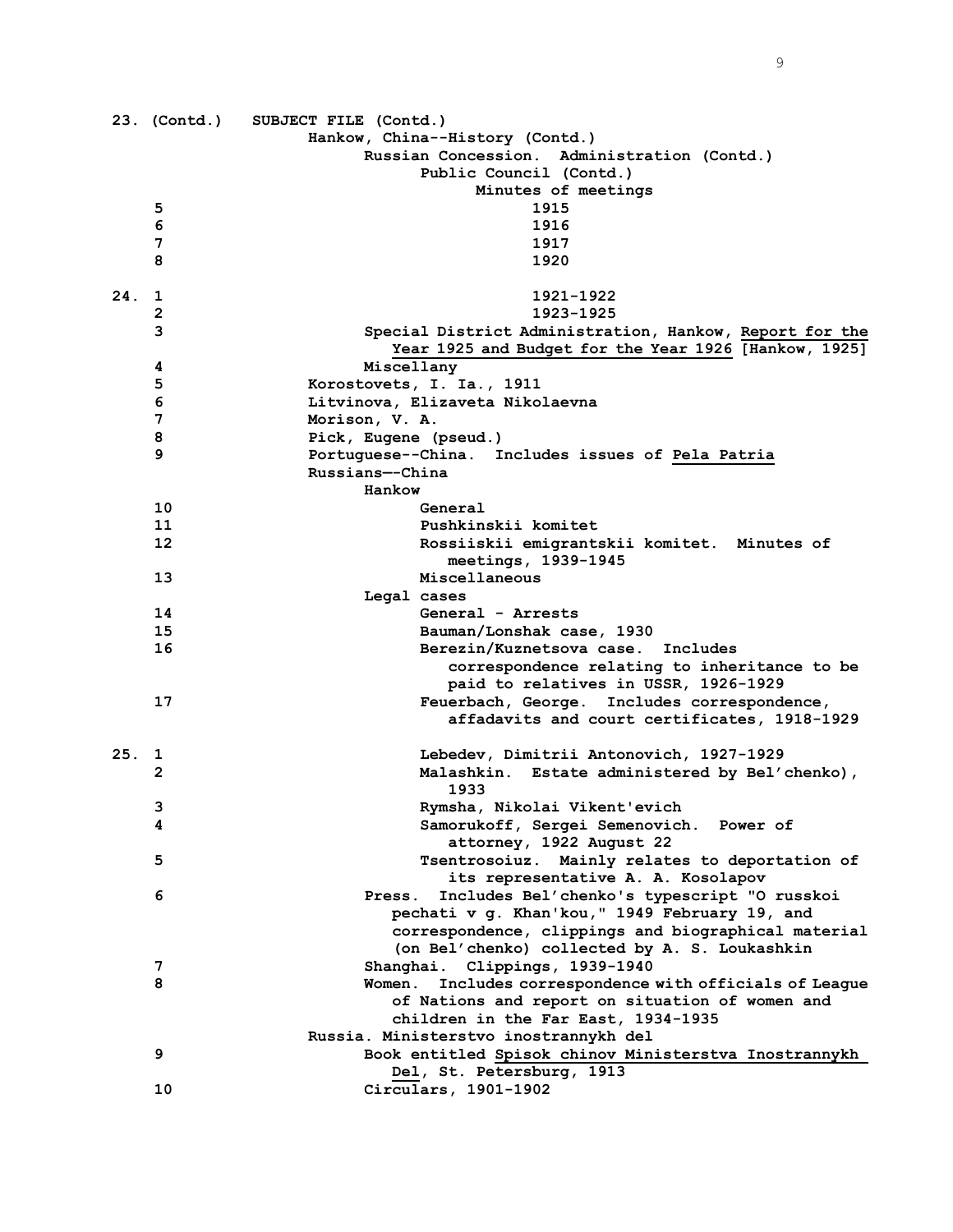|     | 23. (Contd.)   | SUBJECT FILE (Contd.)                                                                  |
|-----|----------------|----------------------------------------------------------------------------------------|
|     |                | Hankow, China--History (Contd.)                                                        |
|     |                | Russian Concession. Administration (Contd.)                                            |
|     |                | Public Council (Contd.)                                                                |
|     |                | Minutes of meetings<br>1915                                                            |
|     | 5              | 1916                                                                                   |
|     | 6<br>7         | 1917                                                                                   |
|     | 8              | 1920                                                                                   |
|     |                |                                                                                        |
| 24. | 1              | 1921-1922                                                                              |
|     | $\overline{2}$ | 1923-1925                                                                              |
|     | 3              | Special District Administration, Hankow, Report for the                                |
|     | 4              | Year 1925 and Budget for the Year 1926 [Hankow, 1925]<br>Miscellany                    |
|     | 5              | Korostovets, I. Ia., 1911                                                              |
|     | 6              | Litvinova, Elizaveta Nikolaevna                                                        |
|     | 7              | Morison, V. A.                                                                         |
|     | 8              | Pick, Eugene (pseud.)                                                                  |
|     | 9              | Portuguese--China. Includes issues of Pela Patria                                      |
|     |                | Russians--China                                                                        |
|     |                | Hankow                                                                                 |
|     | 10             | General                                                                                |
|     | 11             | Pushkinskii komitet                                                                    |
|     | 12             | Rossiiskii emigrantskii komitet. Minutes of                                            |
|     |                | meetings, 1939-1945                                                                    |
|     | 13             | Miscellaneous                                                                          |
|     |                | Legal cases                                                                            |
|     | 14             | General - Arrests                                                                      |
|     | 15             | Bauman/Lonshak case, 1930                                                              |
|     | 16             | Berezin/Kuznetsova case. Includes                                                      |
|     |                | correspondence relating to inheritance to be                                           |
|     |                | paid to relatives in USSR, 1926-1929                                                   |
|     | 17             | Feuerbach, George. Includes correspondence,                                            |
|     |                | affadavits and court certificates, 1918-1929                                           |
| 25. | ı              | Lebedev, Dimitrii Antonovich, 1927-1929                                                |
|     | 2              | Malashkin. Estate administered by Bel'chenko),                                         |
|     |                | 1933                                                                                   |
|     | 3              | Rymsha, Nikolai Vikent'evich                                                           |
|     | 4              | Samorukoff, Sergei Semenovich. Power of                                                |
|     |                | attorney, 1922 August 22                                                               |
|     | 5              | Tsentrosoiuz. Mainly relates to deportation of                                         |
|     |                | its representative A. A. Kosolapov                                                     |
|     | 6              | Includes Bel'chenko's typescript "O russkoi<br>Press.                                  |
|     |                | pechati v g. Khan'kou," 1949 February 19, and                                          |
|     |                | correspondence, clippings and biographical material                                    |
|     |                | (on Bel'chenko) collected by A. S. Loukashkin                                          |
|     | 7              | Shanghai. Clippings, 1939-1940                                                         |
|     | 8              | Includes correspondence with officials of League<br>Women.                             |
|     |                | of Nations and report on situation of women and<br>children in the Far East, 1934-1935 |
|     |                | Russia. Ministerstvo inostrannykh del                                                  |
|     | 9              | Book entitled Spisok chinov Ministerstva Inostrannykh                                  |
|     |                | Del, St. Petersburg, 1913                                                              |
|     | 10             | Circulars, 1901-1902                                                                   |
|     |                |                                                                                        |